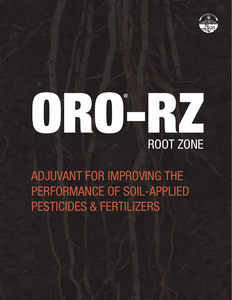

# ORO-RZ ROOT ZONE

ADJUVANT FOR IMPROVING THE PERFORMANCE OF SOIL-APPLIED PESTICIDES & FERTILIZERS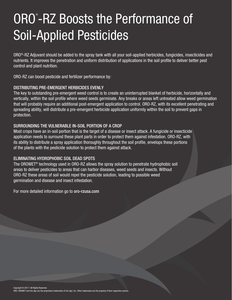# ORO<sup>®</sup>-RZ Boosts the Performance of Soil-Applied Pesticides

ORO®-RZ Adjuvant should be added to the spray tank with all your soil-applied herbicides, fungicides, insecticides and nutrients. It improves the penetration and uniform distribution of applications in the soil profile to deliver better pest control and plant nutrition.

ORO-RZ can boost pesticide and fertilizer performance by:

#### DISTRIBUTING PRE-EMERGENT HERBICIDES EVENLY

The key to outstanding pre-emergent weed control is to create an uninterrupted blanket of herbicide, horizontally and vertically, within the soil profile where weed seeds germinate. Any breaks or areas left untreated allow weed germination that will probably require an additional post-emergent application to control. ORO-RZ, with its excellent penetrating and spreading ability, will distribute a pre-emergent herbicide application uniformly within the soil to prevent gaps in protection.

#### SURROUNDING THE VULNERABLE IN-SOIL PORTION OF A CROP

Most crops have an in-soil portion that is the target of a disease or insect attack. A fungicide or insecticide application needs to surround these plant parts in order to protect them against infestation. ORO-RZ, with its ability to distribute a spray application thoroughly throughout the soil profile, envelops these portions of the plants with the pesticide solution to protect them against attack.

#### ELIMINATING HYDROPHOBIC SOIL DEAD SPOTS

The OROWET® technology used in ORO-RZ allows the spray solution to penetrate hydrophobic soil areas to deliver pesticides to areas that can harbor diseases, weed seeds and insects. Without ORO-RZ these areas of soil would repel the pesticide solution, leading to possible weed germination and disease and insect infestation.

For more detailed information go to oro-rzusa.com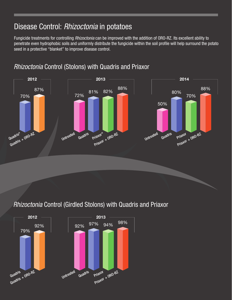# Disease Control: *Rhizoctonia* in potatoes

Fungicide treatments for controlling *Rhizoctonia* can be improved with the addition of ORO-RZ. Its excellent ability to penetrate even hydrophobic soils and uniformly distribute the fungicide within the soil profile will help surround the potato seed in a protective "blanket" to improve disease control.



*Rhizoctonia* Control (Stolons) with Quadris and Priaxor

## *Rhizoctonia* Control (Girdled Stolons) with Quadris and Priaxor

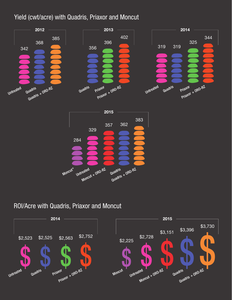#### Yield (cwt/acre) with Quadris, Priaxor and Moncut



#### ROI/Acre with Quadris, Priaxor and Moncut

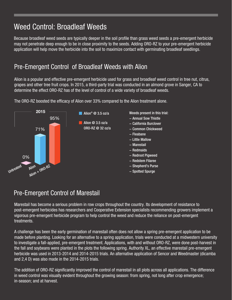# Weed Control: Broadleaf Weeds

Because broadleaf weed seeds are typically deeper in the soil profile than grass weed seeds a pre-emergent herbicide may not penetrate deep enough to be in close proximity to the seeds. Adding ORO-RZ to your pre-emergent herbicide application will help move the herbicide into the soil to maximize contact with germinating broadleaf seedlings.

#### Pre-Emergent Control of Broadleaf Weeds with Alion

Alion is a popular and effective pre-emergent herbicide used for grass and broadleaf weed control in tree nut, citrus, grapes and other tree fruit crops. In 2015, a third-party trial was conducted in an almond grove in Sanger, CA to determine the effect ORO-RZ has of the level of control of a wide variety of broadleaf weeds.



The ORO-RZ boosted the efficacy of Alion over 33% compared to the Alion treatment alone.

#### Pre-Emergent Control of Marestail

Marestail has become a serious problem in row crops throughout the country. Its development of resistance to post-emergent herbicides has researchers and Cooperative Extension specialists recommending growers implement a vigorous pre-emergent herbicide program to help control the weed and reduce the reliance on post-emergent treatments.

A challenge has been the early germination of marestail often does not allow a spring pre-emergent application to be made before planting. Looking for an alternative to a spring application, trials were conducted at a midwestern university to investigate a fall-applied, pre-emergent treatment. Applications, with and without ORO-RZ, were done post-harvest in the fall and soybeans were planted in the plots the following spring. Authority XL, an effective marestail pre-emergent herbicide was used in 2013-2014 and 2014-2015 trials. An alternative application of Sencor and Weedmaster (dicamba and 2,4 D) was also made in the 2014-2015 trials.

The addition of ORO-RZ significantly improved the control of marestail in all plots across all applications. The difference in weed control was visually evident throughout the growing season: from spring, not long after crop emergence; in-season; and at harvest.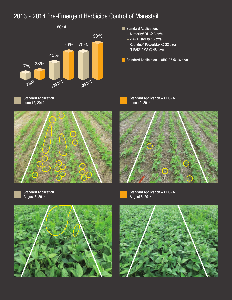## 2013 - 2014 Pre-Emergent Herbicide Control of Marestail



- Standard Application:
	- − Authority® XL @ 3 oz/a
	- − 2,4-D Ester @ 16 oz/a
	- − Roundup® PowerMax @ 22 oz/a
	- − N-PAK® AMS @ 48 oz/a
- Standard Application + ORO-RZ  $@$  16 oz/a









Standard Application June 12, 2014





Standard Application + ORO-RZ August 5, 2014



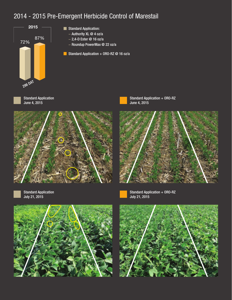#### 2014 - 2015 Pre-Emergent Herbicide Control of Marestail



- Standard Application:
	- − Authority XL @ 4 oz/a
	- − 2,4-D Ester @ 16 oz/a
	- − Roundup PowerMax @ 22 oz/a
- Standard Application + ORO-RZ  $@$  16 oz/a







Standard Application + ORO-RZ June 4, 2015





Standard Application July 21, 2015



Standard Application + ORO-RZ July 21, 2015